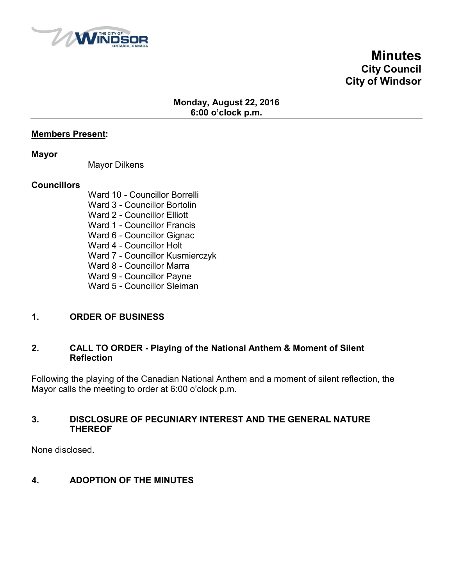

**Minutes City Council City of Windsor**

# **Monday, August 22, 2016 6:00 o'clock p.m.**

## **Members Present:**

#### **Mayor**

Mayor Dilkens

## **Councillors**

Ward 10 - Councillor Borrelli Ward 3 - Councillor Bortolin Ward 2 - Councillor Elliott Ward 1 - Councillor Francis Ward 6 - Councillor Gignac Ward 4 - Councillor Holt Ward 7 - Councillor Kusmierczyk Ward 8 - Councillor Marra Ward 9 - Councillor Payne Ward 5 - Councillor Sleiman

# **1. ORDER OF BUSINESS**

## **2. CALL TO ORDER - Playing of the National Anthem & Moment of Silent Reflection**

Following the playing of the Canadian National Anthem and a moment of silent reflection, the Mayor calls the meeting to order at 6:00 o'clock p.m.

## **3. DISCLOSURE OF PECUNIARY INTEREST AND THE GENERAL NATURE THEREOF**

None disclosed.

# **4. ADOPTION OF THE MINUTES**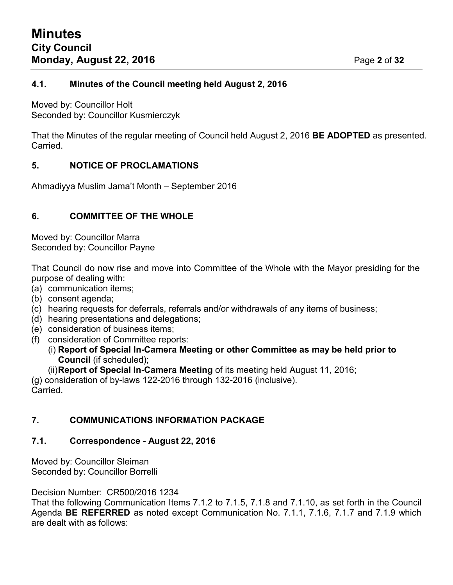# **4.1. Minutes of the Council meeting held August 2, 2016**

Moved by: Councillor Holt Seconded by: Councillor Kusmierczyk

That the Minutes of the regular meeting of Council held August 2, 2016 **BE ADOPTED** as presented. Carried.

# **5. NOTICE OF PROCLAMATIONS**

Ahmadiyya Muslim Jama't Month – September 2016

# **6. COMMITTEE OF THE WHOLE**

Moved by: Councillor Marra Seconded by: Councillor Payne

That Council do now rise and move into Committee of the Whole with the Mayor presiding for the purpose of dealing with:

- (a) communication items;
- (b) consent agenda;
- (c) hearing requests for deferrals, referrals and/or withdrawals of any items of business;
- (d) hearing presentations and delegations;
- (e) consideration of business items;
- (f) consideration of Committee reports:
	- (i) **Report of Special In-Camera Meeting or other Committee as may be held prior to Council** (if scheduled);
	- (ii)**Report of Special In-Camera Meeting** of its meeting held August 11, 2016;

(g) consideration of by-laws 122-2016 through 132-2016 (inclusive). Carried.

# **7. COMMUNICATIONS INFORMATION PACKAGE**

# **7.1. Correspondence - August 22, 2016**

Moved by: Councillor Sleiman Seconded by: Councillor Borrelli

Decision Number: CR500/2016 1234

That the following Communication Items 7.1.2 to 7.1.5, 7.1.8 and 7.1.10, as set forth in the Council Agenda **BE REFERRED** as noted except Communication No. 7.1.1, 7.1.6, 7.1.7 and 7.1.9 which are dealt with as follows: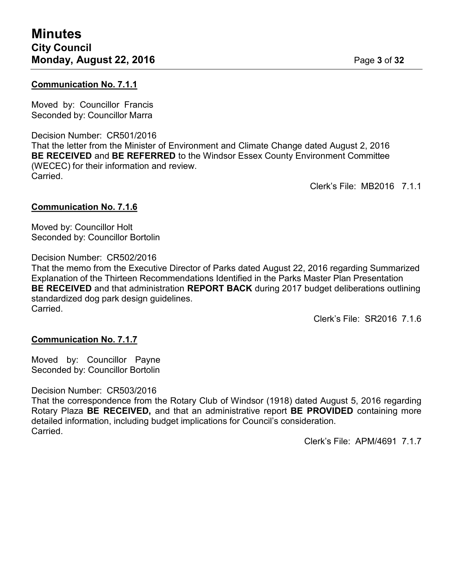# **Communication No. 7.1.1**

Moved by: Councillor Francis Seconded by: Councillor Marra

Decision Number: CR501/2016 That the letter from the Minister of Environment and Climate Change dated August 2, 2016 **BE RECEIVED** and **BE REFERRED** to the Windsor Essex County Environment Committee (WECEC) for their information and review. Carried.

Clerk's File: MB2016 7.1.1

# **Communication No. 7.1.6**

Moved by: Councillor Holt Seconded by: Councillor Bortolin

# Decision Number: CR502/2016

That the memo from the Executive Director of Parks dated August 22, 2016 regarding Summarized Explanation of the Thirteen Recommendations Identified in the Parks Master Plan Presentation **BE RECEIVED** and that administration **REPORT BACK** during 2017 budget deliberations outlining standardized dog park design guidelines. Carried.

Clerk's File: SR2016 7.1.6

# **Communication No. 7.1.7**

Moved by: Councillor Payne Seconded by: Councillor Bortolin

Decision Number: CR503/2016

That the correspondence from the Rotary Club of Windsor (1918) dated August 5, 2016 regarding Rotary Plaza **BE RECEIVED,** and that an administrative report **BE PROVIDED** containing more detailed information, including budget implications for Council's consideration. Carried.

Clerk's File: APM/4691 7 1 7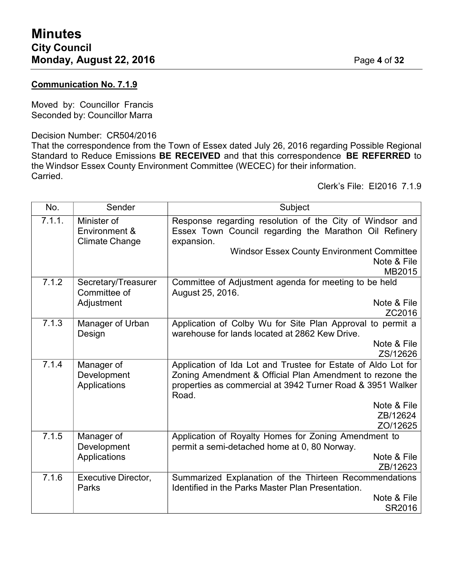# **Communication No. 7.1.9**

Moved by: Councillor Francis Seconded by: Councillor Marra

## Decision Number: CR504/2016

That the correspondence from the Town of Essex dated July 26, 2016 regarding Possible Regional Standard to Reduce Emissions **BE RECEIVED** and that this correspondence **BE REFERRED** to the Windsor Essex County Environment Committee (WECEC) for their information. Carried.

Clerk's File: EI2016 7.1.9

| No.    | Sender                                                | Subject                                                                                                                                                                                          |  |
|--------|-------------------------------------------------------|--------------------------------------------------------------------------------------------------------------------------------------------------------------------------------------------------|--|
| 7.1.1. | Minister of<br>Environment &<br><b>Climate Change</b> | Response regarding resolution of the City of Windsor and<br>Essex Town Council regarding the Marathon Oil Refinery<br>expansion.                                                                 |  |
|        |                                                       | <b>Windsor Essex County Environment Committee</b><br>Note & File<br>MB2015                                                                                                                       |  |
| 7.1.2  | Secretary/Treasurer<br>Committee of                   | Committee of Adjustment agenda for meeting to be held<br>August 25, 2016.                                                                                                                        |  |
|        | Adjustment                                            | Note & File<br>ZC2016                                                                                                                                                                            |  |
| 7.1.3  | Manager of Urban<br>Design                            | Application of Colby Wu for Site Plan Approval to permit a<br>warehouse for lands located at 2862 Kew Drive.                                                                                     |  |
|        |                                                       | Note & File<br>ZS/12626                                                                                                                                                                          |  |
| 7.1.4  | Manager of<br>Development<br>Applications             | Application of Ida Lot and Trustee for Estate of Aldo Lot for<br>Zoning Amendment & Official Plan Amendment to rezone the<br>properties as commercial at 3942 Turner Road & 3951 Walker<br>Road. |  |
|        |                                                       | Note & File                                                                                                                                                                                      |  |
|        |                                                       | ZB/12624                                                                                                                                                                                         |  |
|        |                                                       | ZO/12625                                                                                                                                                                                         |  |
| 7.1.5  | Manager of<br>Development                             | Application of Royalty Homes for Zoning Amendment to<br>permit a semi-detached home at 0, 80 Norway.                                                                                             |  |
|        | Applications                                          | Note & File                                                                                                                                                                                      |  |
|        |                                                       | ZB/12623                                                                                                                                                                                         |  |
| 7.1.6  | <b>Executive Director,</b><br>Parks                   | Summarized Explanation of the Thirteen Recommendations<br><b>Identified in the Parks Master Plan Presentation.</b>                                                                               |  |
|        |                                                       | Note & File                                                                                                                                                                                      |  |
|        |                                                       | SR2016                                                                                                                                                                                           |  |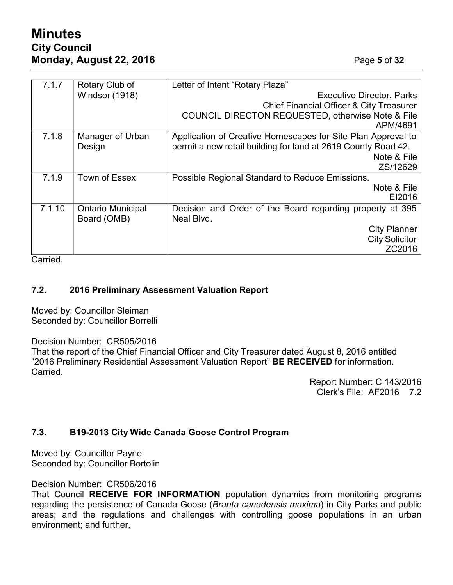# **Minutes City Council Monday, August 22, 2016** Page **5** of **32**

| 7.1.7  | Rotary Club of           | Letter of Intent "Rotary Plaza"                                          |  |
|--------|--------------------------|--------------------------------------------------------------------------|--|
|        | <b>Windsor (1918)</b>    | <b>Executive Director, Parks</b>                                         |  |
|        |                          | <b>Chief Financial Officer &amp; City Treasurer</b>                      |  |
|        |                          | <b>COUNCIL DIRECTON REQUESTED, otherwise Note &amp; File</b><br>APM/4691 |  |
| 7.1.8  | Manager of Urban         | Application of Creative Homescapes for Site Plan Approval to             |  |
|        | Design                   | permit a new retail building for land at 2619 County Road 42.            |  |
|        |                          | Note & File                                                              |  |
|        |                          | ZS/12629                                                                 |  |
| 7.1.9  | Town of Essex            | Possible Regional Standard to Reduce Emissions.                          |  |
|        |                          | Note & File                                                              |  |
|        |                          | EI2016                                                                   |  |
| 7.1.10 | <b>Ontario Municipal</b> | Decision and Order of the Board regarding property at 395                |  |
|        | Board (OMB)              | Neal Blvd.                                                               |  |
|        |                          | <b>City Planner</b>                                                      |  |
|        |                          | <b>City Solicitor</b>                                                    |  |
|        |                          | ZC2016                                                                   |  |

Carried.

# **7.2. 2016 Preliminary Assessment Valuation Report**

Moved by: Councillor Sleiman Seconded by: Councillor Borrelli

Decision Number: CR505/2016

That the report of the Chief Financial Officer and City Treasurer dated August 8, 2016 entitled "2016 Preliminary Residential Assessment Valuation Report" **BE RECEIVED** for information. Carried.

> Report Number: C 143/2016 Clerk's File: AF2016 7.2

# **7.3. B19-2013 City Wide Canada Goose Control Program**

Moved by: Councillor Payne Seconded by: Councillor Bortolin

Decision Number: CR506/2016

That Council **RECEIVE FOR INFORMATION** population dynamics from monitoring programs regarding the persistence of Canada Goose (*Branta canadensis maxima*) in City Parks and public areas; and the regulations and challenges with controlling goose populations in an urban environment; and further,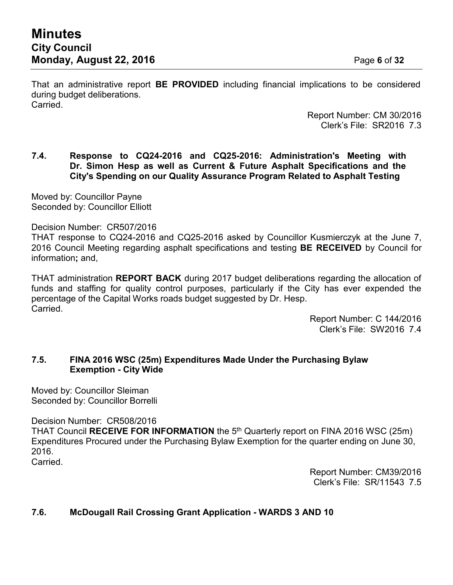That an administrative report **BE PROVIDED** including financial implications to be considered during budget deliberations. Carried.

> Report Number: CM 30/2016 Clerk's File: SR2016 7.3

# **7.4. Response to CQ24-2016 and CQ25-2016: Administration's Meeting with Dr. Simon Hesp as well as Current & Future Asphalt Specifications and the City's Spending on our Quality Assurance Program Related to Asphalt Testing**

Moved by: Councillor Payne Seconded by: Councillor Elliott

Decision Number: CR507/2016

THAT response to CQ24-2016 and CQ25-2016 asked by Councillor Kusmierczyk at the June 7, 2016 Council Meeting regarding asphalt specifications and testing **BE RECEIVED** by Council for information**;** and,

THAT administration **REPORT BACK** during 2017 budget deliberations regarding the allocation of funds and staffing for quality control purposes, particularly if the City has ever expended the percentage of the Capital Works roads budget suggested by Dr. Hesp. Carried.

> Report Number: C 144/2016 Clerk's File: SW2016 7.4

# **7.5. FINA 2016 WSC (25m) Expenditures Made Under the Purchasing Bylaw Exemption - City Wide**

Moved by: Councillor Sleiman Seconded by: Councillor Borrelli

Decision Number: CR508/2016

THAT Council **RECEIVE FOR INFORMATION** the 5<sup>th</sup> Quarterly report on FINA 2016 WSC (25m) Expenditures Procured under the Purchasing Bylaw Exemption for the quarter ending on June 30, 2016.

Carried.

Report Number: CM39/2016 Clerk's File: SR/11543 7.5

# **7.6. McDougall Rail Crossing Grant Application - WARDS 3 AND 10**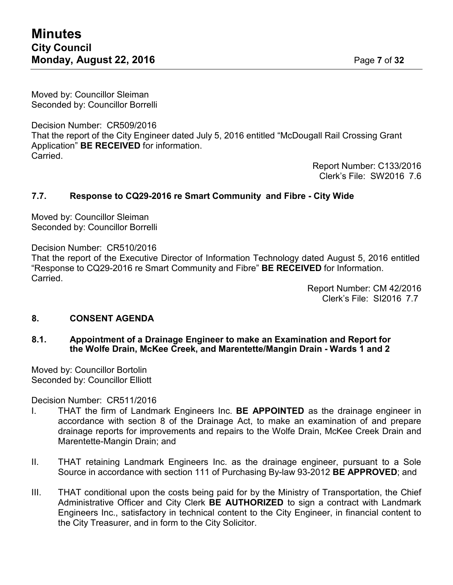Moved by: Councillor Sleiman Seconded by: Councillor Borrelli

Decision Number: CR509/2016 That the report of the City Engineer dated July 5, 2016 entitled "McDougall Rail Crossing Grant Application" **BE RECEIVED** for information. Carried.

Report Number: C133/2016 Clerk's File: SW2016 7.6

# **7.7. Response to CQ29-2016 re Smart Community and Fibre - City Wide**

Moved by: Councillor Sleiman Seconded by: Councillor Borrelli

Decision Number: CR510/2016

That the report of the Executive Director of Information Technology dated August 5, 2016 entitled "Response to CQ29-2016 re Smart Community and Fibre" **BE RECEIVED** for Information. Carried.

> Report Number: CM 42/2016 Clerk's File: SI2016 7.7

# **8. CONSENT AGENDA**

**8.1. Appointment of a Drainage Engineer to make an Examination and Report for the Wolfe Drain, McKee Creek, and Marentette/Mangin Drain - Wards 1 and 2**

Moved by: Councillor Bortolin Seconded by: Councillor Elliott

Decision Number: CR511/2016

- I. THAT the firm of Landmark Engineers Inc. **BE APPOINTED** as the drainage engineer in accordance with section 8 of the Drainage Act, to make an examination of and prepare drainage reports for improvements and repairs to the Wolfe Drain, McKee Creek Drain and Marentette-Mangin Drain; and
- II. THAT retaining Landmark Engineers Inc. as the drainage engineer, pursuant to a Sole Source in accordance with section 111 of Purchasing By-law 93-2012 **BE APPROVED**; and
- III. THAT conditional upon the costs being paid for by the Ministry of Transportation, the Chief Administrative Officer and City Clerk **BE AUTHORIZED** to sign a contract with Landmark Engineers Inc., satisfactory in technical content to the City Engineer, in financial content to the City Treasurer, and in form to the City Solicitor.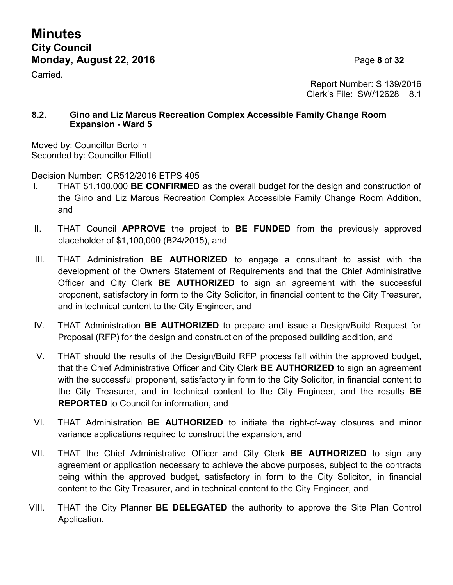Carried.

Page **8** of **32**

Report Number: S 139/2016 Clerk's File: SW/12628 8.1

# **8.2. Gino and Liz Marcus Recreation Complex Accessible Family Change Room Expansion - Ward 5**

Moved by: Councillor Bortolin Seconded by: Councillor Elliott

Decision Number: CR512/2016 ETPS 405

- I. THAT \$1,100,000 **BE CONFIRMED** as the overall budget for the design and construction of the Gino and Liz Marcus Recreation Complex Accessible Family Change Room Addition, and
- II. THAT Council **APPROVE** the project to **BE FUNDED** from the previously approved placeholder of \$1,100,000 (B24/2015), and
- III. THAT Administration **BE AUTHORIZED** to engage a consultant to assist with the development of the Owners Statement of Requirements and that the Chief Administrative Officer and City Clerk **BE AUTHORIZED** to sign an agreement with the successful proponent, satisfactory in form to the City Solicitor, in financial content to the City Treasurer, and in technical content to the City Engineer, and
- IV. THAT Administration **BE AUTHORIZED** to prepare and issue a Design/Build Request for Proposal (RFP) for the design and construction of the proposed building addition, and
- V. THAT should the results of the Design/Build RFP process fall within the approved budget, that the Chief Administrative Officer and City Clerk **BE AUTHORIZED** to sign an agreement with the successful proponent, satisfactory in form to the City Solicitor, in financial content to the City Treasurer, and in technical content to the City Engineer, and the results **BE REPORTED** to Council for information, and
- VI. THAT Administration **BE AUTHORIZED** to initiate the right-of-way closures and minor variance applications required to construct the expansion, and
- VII. THAT the Chief Administrative Officer and City Clerk **BE AUTHORIZED** to sign any agreement or application necessary to achieve the above purposes, subject to the contracts being within the approved budget, satisfactory in form to the City Solicitor, in financial content to the City Treasurer, and in technical content to the City Engineer, and
- VIII. THAT the City Planner **BE DELEGATED** the authority to approve the Site Plan Control Application.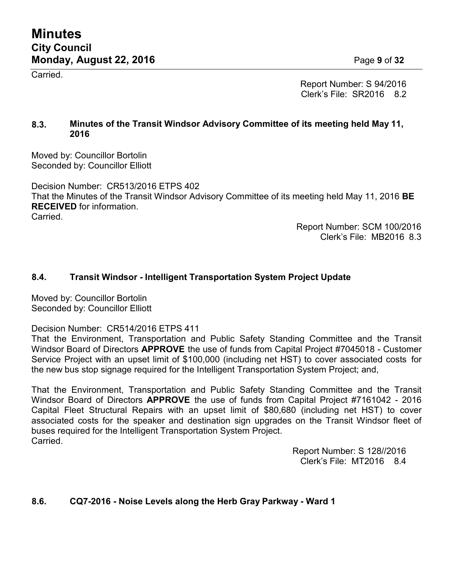**Carried** 

Page **9** of **32**

Report Number: S 94/2016 Clerk's File: SR2016 8.2

# **8.3. Minutes of the Transit Windsor Advisory Committee of its meeting held May 11, 2016**

Moved by: Councillor Bortolin Seconded by: Councillor Elliott

Decision Number: CR513/2016 ETPS 402 That the Minutes of the Transit Windsor Advisory Committee of its meeting held May 11, 2016 **BE RECEIVED** for information. Carried.

> Report Number: SCM 100/2016 Clerk's File: MB2016 8.3

# **8.4. Transit Windsor - Intelligent Transportation System Project Update**

Moved by: Councillor Bortolin Seconded by: Councillor Elliott

Decision Number: CR514/2016 ETPS 411

That the Environment, Transportation and Public Safety Standing Committee and the Transit Windsor Board of Directors **APPROVE** the use of funds from Capital Project #7045018 - Customer Service Project with an upset limit of \$100,000 (including net HST) to cover associated costs for the new bus stop signage required for the Intelligent Transportation System Project; and,

That the Environment, Transportation and Public Safety Standing Committee and the Transit Windsor Board of Directors **APPROVE** the use of funds from Capital Project #7161042 - 2016 Capital Fleet Structural Repairs with an upset limit of \$80,680 (including net HST) to cover associated costs for the speaker and destination sign upgrades on the Transit Windsor fleet of buses required for the Intelligent Transportation System Project. **Carried** 

> Report Number: S 128//2016 Clerk's File: MT2016 8.4

# **8.6. CQ7-2016 - Noise Levels along the Herb Gray Parkway - Ward 1**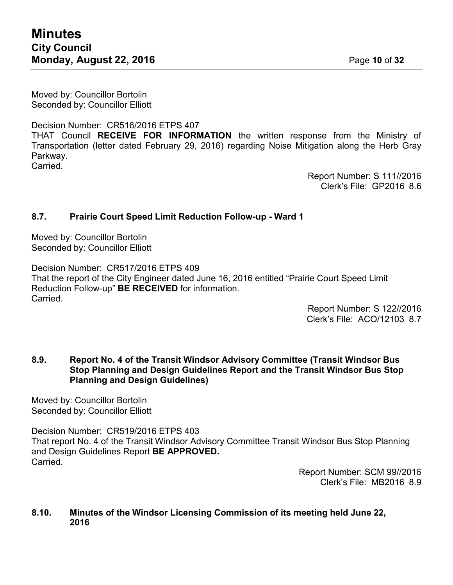Moved by: Councillor Bortolin Seconded by: Councillor Elliott

Decision Number: CR516/2016 ETPS 407 THAT Council **RECEIVE FOR INFORMATION** the written response from the Ministry of Transportation (letter dated February 29, 2016) regarding Noise Mitigation along the Herb Gray Parkway. Carried.

> Report Number: S 111//2016 Clerk's File: GP2016 8.6

# **8.7. Prairie Court Speed Limit Reduction Follow-up - Ward 1**

Moved by: Councillor Bortolin Seconded by: Councillor Elliott

Decision Number: CR517/2016 ETPS 409 That the report of the City Engineer dated June 16, 2016 entitled "Prairie Court Speed Limit Reduction Follow-up" **BE RECEIVED** for information. Carried.

> Report Number: S 122//2016 Clerk's File: ACO/12103 8.7

# **8.9. Report No. 4 of the Transit Windsor Advisory Committee (Transit Windsor Bus Stop Planning and Design Guidelines Report and the Transit Windsor Bus Stop Planning and Design Guidelines)**

Moved by: Councillor Bortolin Seconded by: Councillor Elliott

Decision Number: CR519/2016 ETPS 403 That report No. 4 of the Transit Windsor Advisory Committee Transit Windsor Bus Stop Planning and Design Guidelines Report **BE APPROVED.** Carried.

> Report Number: SCM 99//2016 Clerk's File: MB2016 8.9

## **8.10. Minutes of the Windsor Licensing Commission of its meeting held June 22, 2016**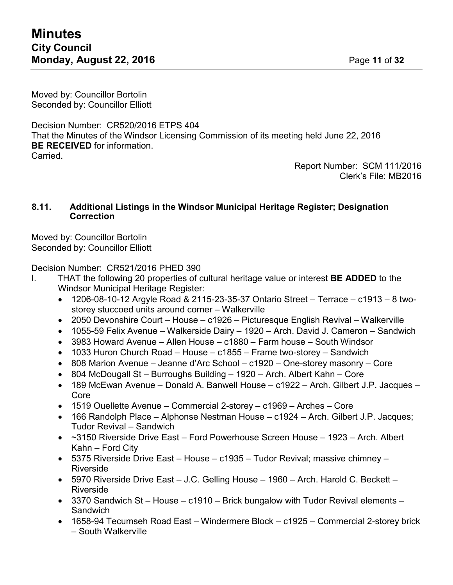Moved by: Councillor Bortolin Seconded by: Councillor Elliott

Decision Number: CR520/2016 ETPS 404 That the Minutes of the Windsor Licensing Commission of its meeting held June 22, 2016 **BE RECEIVED** for information. Carried.

> Report Number: SCM 111/2016 Clerk's File: MB2016

## **8.11. Additional Listings in the Windsor Municipal Heritage Register; Designation Correction**

Moved by: Councillor Bortolin Seconded by: Councillor Elliott

Decision Number: CR521/2016 PHED 390

- I. THAT the following 20 properties of cultural heritage value or interest **BE ADDED** to the Windsor Municipal Heritage Register:
	- 1206-08-10-12 Argyle Road & 2115-23-35-37 Ontario Street Terrace c1913 8 twostorey stuccoed units around corner – Walkerville
	- 2050 Devonshire Court House c1926 Picturesque English Revival Walkerville
	- 1055-59 Felix Avenue Walkerside Dairy 1920 Arch. David J. Cameron Sandwich
	- 3983 Howard Avenue Allen House c1880 Farm house South Windsor
	- 1033 Huron Church Road House c1855 Frame two-storey Sandwich
	- 808 Marion Avenue Jeanne d'Arc School c1920 One-storey masonry Core
	- 804 McDougall St Burroughs Building 1920 Arch. Albert Kahn Core
	- 189 McEwan Avenue Donald A. Banwell House c1922 Arch. Gilbert J.P. Jacques Core
	- 1519 Ouellette Avenue Commercial 2-storey c1969 Arches Core
	- 166 Randolph Place Alphonse Nestman House c1924 Arch. Gilbert J.P. Jacques; Tudor Revival – Sandwich
	- ~3150 Riverside Drive East Ford Powerhouse Screen House 1923 Arch. Albert Kahn – Ford City
	- 5375 Riverside Drive East House c1935 Tudor Revival; massive chimney Riverside
	- 5970 Riverside Drive East J.C. Gelling House 1960 Arch. Harold C. Beckett Riverside
	- 3370 Sandwich St House c1910 Brick bungalow with Tudor Revival elements Sandwich
	- 1658-94 Tecumseh Road East Windermere Block c1925 Commercial 2-storey brick – South Walkerville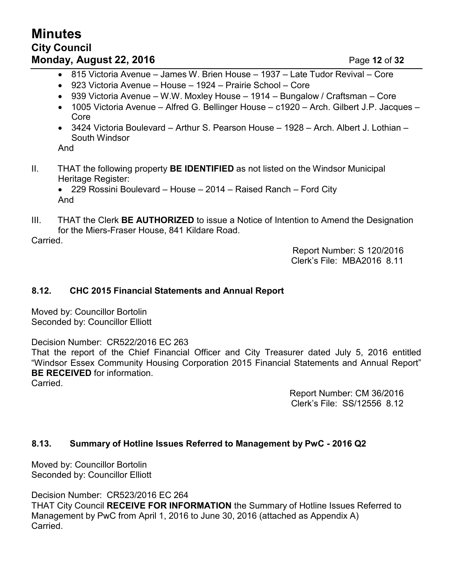# **Minutes City Council Monday, August 22, 2016 Page 12 of 32**

- 815 Victoria Avenue James W. Brien House 1937 Late Tudor Revival Core
- 923 Victoria Avenue House 1924 Prairie School Core
- 939 Victoria Avenue W.W. Moxley House 1914 Bungalow / Craftsman Core
- 1005 Victoria Avenue Alfred G. Bellinger House c1920 Arch. Gilbert J.P. Jacques Core
- 3424 Victoria Boulevard Arthur S. Pearson House 1928 Arch. Albert J. Lothian South Windsor

And

- II. THAT the following property **BE IDENTIFIED** as not listed on the Windsor Municipal Heritage Register:
	- 229 Rossini Boulevard House 2014 Raised Ranch Ford City And
- III. THAT the Clerk **BE AUTHORIZED** to issue a Notice of Intention to Amend the Designation for the Miers-Fraser House, 841 Kildare Road.

Carried.

Report Number: S 120/2016 Clerk's File: MBA2016 8.11

# **8.12. CHC 2015 Financial Statements and Annual Report**

Moved by: Councillor Bortolin Seconded by: Councillor Elliott

Decision Number: CR522/2016 EC 263

That the report of the Chief Financial Officer and City Treasurer dated July 5, 2016 entitled "Windsor Essex Community Housing Corporation 2015 Financial Statements and Annual Report" **BE RECEIVED** for information.

Carried.

Report Number: CM 36/2016 Clerk's File: SS/12556 8.12

# **8.13. Summary of Hotline Issues Referred to Management by PwC - 2016 Q2**

Moved by: Councillor Bortolin Seconded by: Councillor Elliott

Decision Number: CR523/2016 EC 264 THAT City Council **RECEIVE FOR INFORMATION** the Summary of Hotline Issues Referred to Management by PwC from April 1, 2016 to June 30, 2016 (attached as Appendix A) Carried.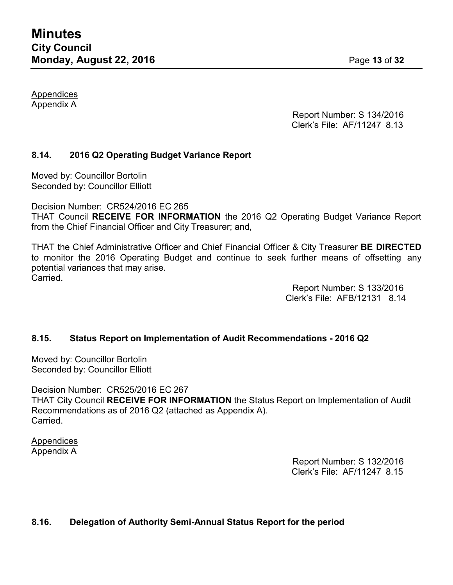Appendices Appendix A

> Report Number: S 134/2016 Clerk's File: AF/11247 8.13

# **8.14. 2016 Q2 Operating Budget Variance Report**

Moved by: Councillor Bortolin Seconded by: Councillor Elliott

Decision Number: CR524/2016 EC 265

THAT Council **RECEIVE FOR INFORMATION** the 2016 Q2 Operating Budget Variance Report from the Chief Financial Officer and City Treasurer; and,

THAT the Chief Administrative Officer and Chief Financial Officer & City Treasurer **BE DIRECTED** to monitor the 2016 Operating Budget and continue to seek further means of offsetting any potential variances that may arise. Carried.

> Report Number: S 133/2016 Clerk's File: AFB/12131 8.14

# **8.15. Status Report on Implementation of Audit Recommendations - 2016 Q2**

Moved by: Councillor Bortolin Seconded by: Councillor Elliott

Decision Number: CR525/2016 EC 267 THAT City Council **RECEIVE FOR INFORMATION** the Status Report on Implementation of Audit Recommendations as of 2016 Q2 (attached as Appendix A). Carried.

Appendices Appendix A

Report Number: S 132/2016 Clerk's File: AF/11247 8.15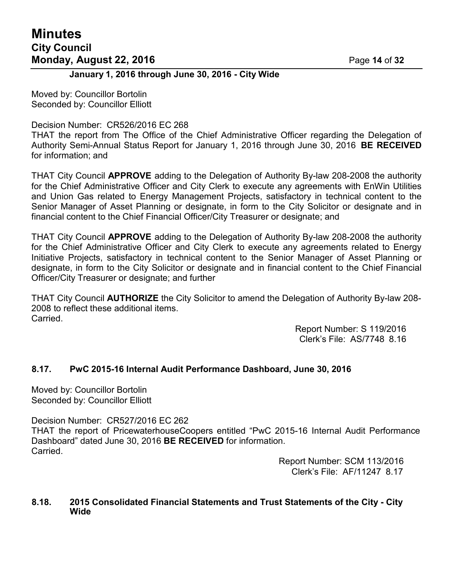# **Minutes City Council Monday, August 22, 2016 Page 14 of 32**

# **January 1, 2016 through June 30, 2016 - City Wide**

Moved by: Councillor Bortolin Seconded by: Councillor Elliott

#### Decision Number: CR526/2016 EC 268

THAT the report from The Office of the Chief Administrative Officer regarding the Delegation of Authority Semi-Annual Status Report for January 1, 2016 through June 30, 2016 **BE RECEIVED** for information; and

THAT City Council **APPROVE** adding to the Delegation of Authority By-law 208-2008 the authority for the Chief Administrative Officer and City Clerk to execute any agreements with EnWin Utilities and Union Gas related to Energy Management Projects, satisfactory in technical content to the Senior Manager of Asset Planning or designate, in form to the City Solicitor or designate and in financial content to the Chief Financial Officer/City Treasurer or designate; and

THAT City Council **APPROVE** adding to the Delegation of Authority By-law 208-2008 the authority for the Chief Administrative Officer and City Clerk to execute any agreements related to Energy Initiative Projects, satisfactory in technical content to the Senior Manager of Asset Planning or designate, in form to the City Solicitor or designate and in financial content to the Chief Financial Officer/City Treasurer or designate; and further

THAT City Council **AUTHORIZE** the City Solicitor to amend the Delegation of Authority By-law 208- 2008 to reflect these additional items. Carried.

> Report Number: S 119/2016 Clerk's File: AS/7748 8.16

# **8.17. PwC 2015-16 Internal Audit Performance Dashboard, June 30, 2016**

Moved by: Councillor Bortolin Seconded by: Councillor Elliott

Decision Number: CR527/2016 EC 262

THAT the report of PricewaterhouseCoopers entitled "PwC 2015-16 Internal Audit Performance Dashboard" dated June 30, 2016 **BE RECEIVED** for information. Carried.

> Report Number: SCM 113/2016 Clerk's File: AF/11247 8.17

## **8.18. 2015 Consolidated Financial Statements and Trust Statements of the City - City Wide**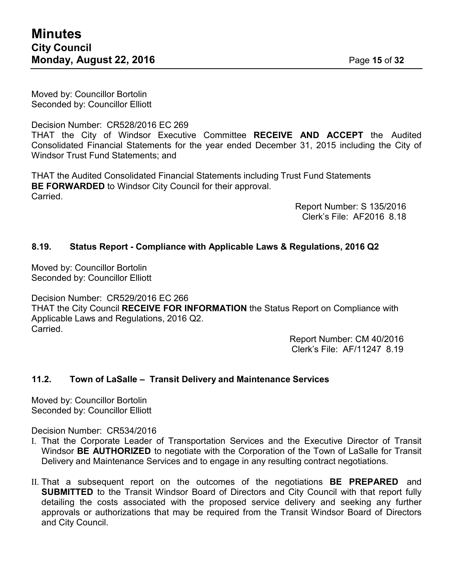Moved by: Councillor Bortolin Seconded by: Councillor Elliott

Decision Number: CR528/2016 EC 269 THAT the City of Windsor Executive Committee **RECEIVE AND ACCEPT** the Audited Consolidated Financial Statements for the year ended December 31, 2015 including the City of Windsor Trust Fund Statements; and

THAT the Audited Consolidated Financial Statements including Trust Fund Statements **BE FORWARDED** to Windsor City Council for their approval. Carried.

> Report Number: S 135/2016 Clerk's File: AF2016 8.18

# **8.19. Status Report - Compliance with Applicable Laws & Regulations, 2016 Q2**

Moved by: Councillor Bortolin Seconded by: Councillor Elliott

Decision Number: CR529/2016 EC 266 THAT the City Council **RECEIVE FOR INFORMATION** the Status Report on Compliance with Applicable Laws and Regulations, 2016 Q2. Carried.

> Report Number: CM 40/2016 Clerk's File: AF/11247 8.19

# **11.2. Town of LaSalle – Transit Delivery and Maintenance Services**

Moved by: Councillor Bortolin Seconded by: Councillor Elliott

Decision Number: CR534/2016

- I. That the Corporate Leader of Transportation Services and the Executive Director of Transit Windsor **BE AUTHORIZED** to negotiate with the Corporation of the Town of LaSalle for Transit Delivery and Maintenance Services and to engage in any resulting contract negotiations.
- II. That a subsequent report on the outcomes of the negotiations **BE PREPARED** and **SUBMITTED** to the Transit Windsor Board of Directors and City Council with that report fully detailing the costs associated with the proposed service delivery and seeking any further approvals or authorizations that may be required from the Transit Windsor Board of Directors and City Council.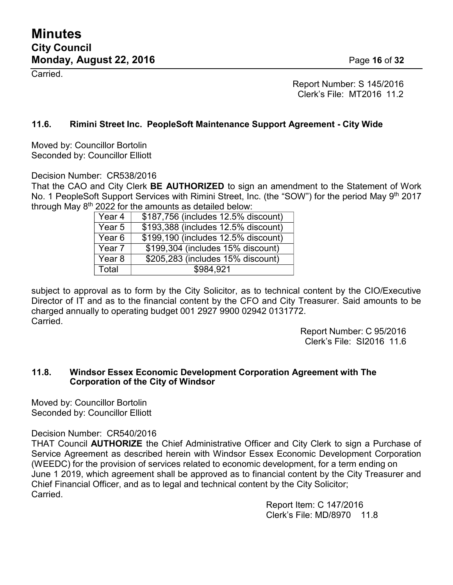Carried.

Report Number: S 145/2016 Clerk's File: MT2016 11.2

# **11.6. Rimini Street Inc. PeopleSoft Maintenance Support Agreement - City Wide**

Moved by: Councillor Bortolin Seconded by: Councillor Elliott

Decision Number: CR538/2016

That the CAO and City Clerk **BE AUTHORIZED** to sign an amendment to the Statement of Work No. 1 PeopleSoft Support Services with Rimini Street, Inc. (the "SOW") for the period May 9<sup>th</sup> 2017 through May  $8^\text{th}$  2022 for the amounts as detailed below:

| Year 4            | \$187,756 (includes 12.5% discount) |  |
|-------------------|-------------------------------------|--|
| Year <sub>5</sub> | \$193,388 (includes 12.5% discount) |  |
| Year <sub>6</sub> | \$199,190 (includes 12.5% discount) |  |
| Year <sub>7</sub> | \$199,304 (includes 15% discount)   |  |
| Year <sub>8</sub> | \$205,283 (includes 15% discount)   |  |
| Total             | \$984,921                           |  |

subject to approval as to form by the City Solicitor, as to technical content by the CIO/Executive Director of IT and as to the financial content by the CFO and City Treasurer. Said amounts to be charged annually to operating budget 001 2927 9900 02942 0131772. Carried.

Report Number: C 95/2016 Clerk's File: SI2016 11.6

# **11.8. Windsor Essex Economic Development Corporation Agreement with The Corporation of the City of Windsor**

Moved by: Councillor Bortolin Seconded by: Councillor Elliott

Decision Number: CR540/2016

THAT Council **AUTHORIZE** the Chief Administrative Officer and City Clerk to sign a Purchase of Service Agreement as described herein with Windsor Essex Economic Development Corporation (WEEDC) for the provision of services related to economic development, for a term ending on June 1 2019, which agreement shall be approved as to financial content by the City Treasurer and Chief Financial Officer, and as to legal and technical content by the City Solicitor; Carried.

> Report Item: C 147/2016 Clerk's File: MD/8970 11.8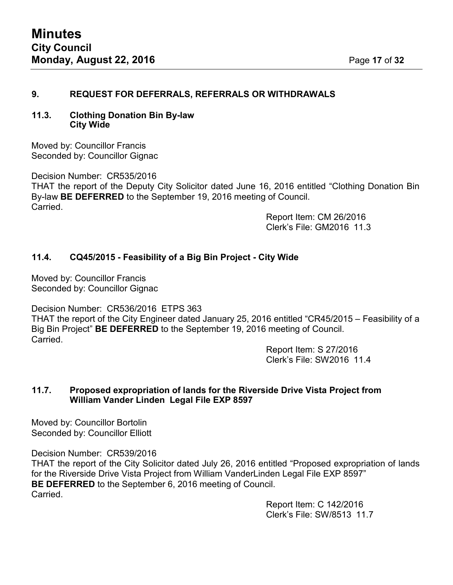# **9. REQUEST FOR DEFERRALS, REFERRALS OR WITHDRAWALS**

## **11.3. Clothing Donation Bin By-law City Wide**

Moved by: Councillor Francis Seconded by: Councillor Gignac

Decision Number: CR535/2016

THAT the report of the Deputy City Solicitor dated June 16, 2016 entitled "Clothing Donation Bin By-law **BE DEFERRED** to the September 19, 2016 meeting of Council. Carried.

> Report Item: CM 26/2016 Clerk's File: GM2016 11.3

# **11.4. CQ45/2015 - Feasibility of a Big Bin Project - City Wide**

Moved by: Councillor Francis Seconded by: Councillor Gignac

Decision Number: CR536/2016 ETPS 363

THAT the report of the City Engineer dated January 25, 2016 entitled "CR45/2015 – Feasibility of a Big Bin Project" **BE DEFERRED** to the September 19, 2016 meeting of Council. Carried.

> Report Item: S 27/2016 Clerk's File: SW2016 11.4

## **11.7. Proposed expropriation of lands for the Riverside Drive Vista Project from William Vander Linden Legal File EXP 8597**

Moved by: Councillor Bortolin Seconded by: Councillor Elliott

Decision Number: CR539/2016

THAT the report of the City Solicitor dated July 26, 2016 entitled "Proposed expropriation of lands for the Riverside Drive Vista Project from William VanderLinden Legal File EXP 8597" **BE DEFERRED** to the September 6, 2016 meeting of Council. Carried.

> Report Item: C 142/2016 Clerk's File: SW/8513 11.7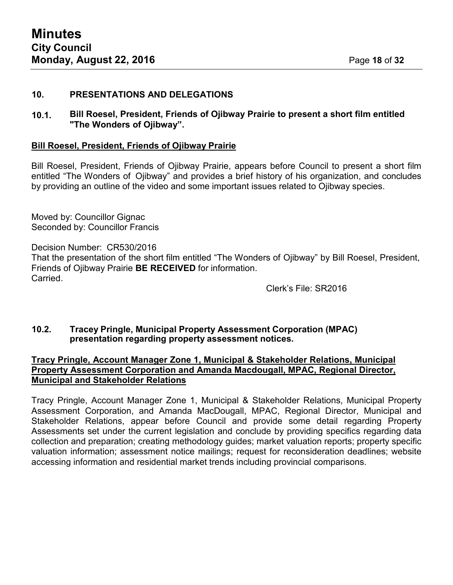## **10. PRESENTATIONS AND DELEGATIONS**

**10.1. Bill Roesel, President, Friends of Ojibway Prairie to present a short film entitled "The Wonders of Ojibway".**

#### **Bill Roesel, President, Friends of Ojibway Prairie**

Bill Roesel, President, Friends of Ojibway Prairie, appears before Council to present a short film entitled "The Wonders of Ojibway" and provides a brief history of his organization, and concludes by providing an outline of the video and some important issues related to Ojibway species.

Moved by: Councillor Gignac Seconded by: Councillor Francis

Decision Number: CR530/2016

That the presentation of the short film entitled "The Wonders of Ojibway" by Bill Roesel, President, Friends of Ojibway Prairie **BE RECEIVED** for information. Carried.

Clerk's File: SR2016

## **10.2. Tracey Pringle, Municipal Property Assessment Corporation (MPAC) presentation regarding property assessment notices.**

# **Tracy Pringle, Account Manager Zone 1, Municipal & Stakeholder Relations, Municipal Property Assessment Corporation and Amanda Macdougall, MPAC, Regional Director, Municipal and Stakeholder Relations**

Tracy Pringle, Account Manager Zone 1, Municipal & Stakeholder Relations, Municipal Property Assessment Corporation, and Amanda MacDougall, MPAC, Regional Director, Municipal and Stakeholder Relations, appear before Council and provide some detail regarding Property Assessments set under the current legislation and conclude by providing specifics regarding data collection and preparation; creating methodology guides; market valuation reports; property specific valuation information; assessment notice mailings; request for reconsideration deadlines; website accessing information and residential market trends including provincial comparisons.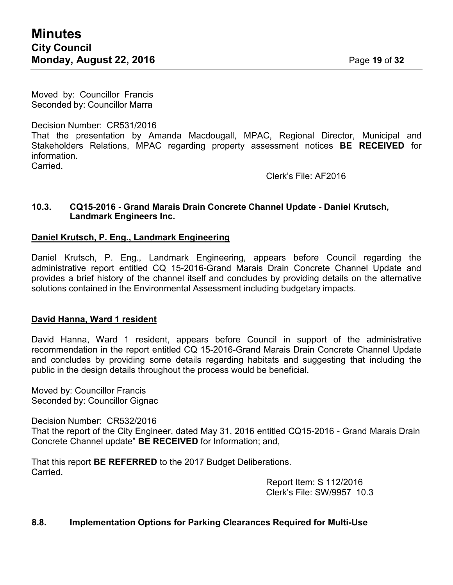Moved by: Councillor Francis Seconded by: Councillor Marra

# Decision Number: CR531/2016

That the presentation by Amanda Macdougall, MPAC, Regional Director, Municipal and Stakeholders Relations, MPAC regarding property assessment notices **BE RECEIVED** for information.

**Carried** 

Clerk's File: AF2016

## **10.3. CQ15-2016 - Grand Marais Drain Concrete Channel Update - Daniel Krutsch, Landmark Engineers Inc.**

# **Daniel Krutsch, P. Eng., Landmark Engineering**

Daniel Krutsch, P. Eng., Landmark Engineering, appears before Council regarding the administrative report entitled CQ 15-2016-Grand Marais Drain Concrete Channel Update and provides a brief history of the channel itself and concludes by providing details on the alternative solutions contained in the Environmental Assessment including budgetary impacts.

# **David Hanna, Ward 1 resident**

David Hanna, Ward 1 resident, appears before Council in support of the administrative recommendation in the report entitled CQ 15-2016-Grand Marais Drain Concrete Channel Update and concludes by providing some details regarding habitats and suggesting that including the public in the design details throughout the process would be beneficial.

Moved by: Councillor Francis Seconded by: Councillor Gignac

Decision Number: CR532/2016

That the report of the City Engineer, dated May 31, 2016 entitled CQ15-2016 - Grand Marais Drain Concrete Channel update" **BE RECEIVED** for Information; and,

That this report **BE REFERRED** to the 2017 Budget Deliberations. Carried.

Report Item: S 112/2016 Clerk's File: SW/9957 10.3

# **8.8. Implementation Options for Parking Clearances Required for Multi-Use**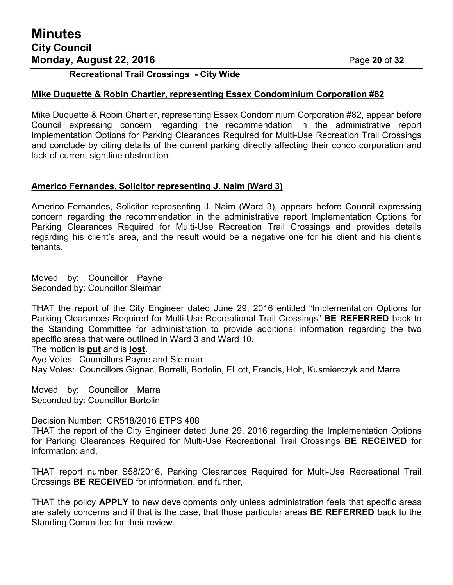**Recreational Trail Crossings - City Wide**

# **Mike Duquette & Robin Chartier, representing Essex Condominium Corporation #82**

Mike Duquette & Robin Chartier, representing Essex Condominium Corporation #82, appear before Council expressing concern regarding the recommendation in the administrative report Implementation Options for Parking Clearances Required for Multi-Use Recreation Trail Crossings and conclude by citing details of the current parking directly affecting their condo corporation and lack of current sightline obstruction.

# **Americo Fernandes, Solicitor representing J. Naim (Ward 3)**

Americo Fernandes, Solicitor representing J. Naim (Ward 3), appears before Council expressing concern regarding the recommendation in the administrative report Implementation Options for Parking Clearances Required for Multi-Use Recreation Trail Crossings and provides details regarding his client's area, and the result would be a negative one for his client and his client's tenants.

Moved by: Councillor Payne Seconded by: Councillor Sleiman

THAT the report of the City Engineer dated June 29, 2016 entitled "Implementation Options for Parking Clearances Required for Multi-Use Recreational Trail Crossings" **BE REFERRED** back to the Standing Committee for administration to provide additional information regarding the two specific areas that were outlined in Ward 3 and Ward 10.

The motion is **put** and is **lost**.

Aye Votes: Councillors Payne and Sleiman

Nay Votes: Councillors Gignac, Borrelli, Bortolin, Elliott, Francis, Holt, Kusmierczyk and Marra

Moved by: Councillor Marra Seconded by: Councillor Bortolin

Decision Number: CR518/2016 ETPS 408 THAT the report of the City Engineer dated June 29, 2016 regarding the Implementation Options for Parking Clearances Required for Multi-Use Recreational Trail Crossings **BE RECEIVED** for information; and,

THAT report number S58/2016, Parking Clearances Required for Multi-Use Recreational Trail Crossings **BE RECEIVED** for information, and further,

THAT the policy **APPLY** to new developments only unless administration feels that specific areas are safety concerns and if that is the case, that those particular areas **BE REFERRED** back to the Standing Committee for their review.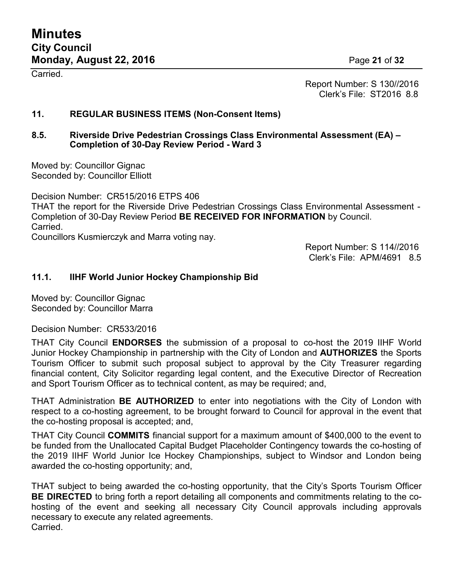Carried.

Report Number: S 130//2016 Clerk's File: ST2016 8.8

# **11. REGULAR BUSINESS ITEMS (Non-Consent Items)**

## **8.5. Riverside Drive Pedestrian Crossings Class Environmental Assessment (EA) – Completion of 30-Day Review Period - Ward 3**

Moved by: Councillor Gignac Seconded by: Councillor Elliott

Decision Number: CR515/2016 ETPS 406 THAT the report for the Riverside Drive Pedestrian Crossings Class Environmental Assessment - Completion of 30-Day Review Period **BE RECEIVED FOR INFORMATION** by Council. Carried.

Councillors Kusmierczyk and Marra voting nay.

Report Number: S 114//2016 Clerk's File: APM/4691 8.5

# **11.1. IIHF World Junior Hockey Championship Bid**

Moved by: Councillor Gignac Seconded by: Councillor Marra

Decision Number: CR533/2016

THAT City Council **ENDORSES** the submission of a proposal to co-host the 2019 IIHF World Junior Hockey Championship in partnership with the City of London and **AUTHORIZES** the Sports Tourism Officer to submit such proposal subject to approval by the City Treasurer regarding financial content, City Solicitor regarding legal content, and the Executive Director of Recreation and Sport Tourism Officer as to technical content, as may be required; and,

THAT Administration **BE AUTHORIZED** to enter into negotiations with the City of London with respect to a co-hosting agreement, to be brought forward to Council for approval in the event that the co-hosting proposal is accepted; and,

THAT City Council **COMMITS** financial support for a maximum amount of \$400,000 to the event to be funded from the Unallocated Capital Budget Placeholder Contingency towards the co-hosting of the 2019 IIHF World Junior Ice Hockey Championships, subject to Windsor and London being awarded the co-hosting opportunity; and,

THAT subject to being awarded the co-hosting opportunity, that the City's Sports Tourism Officer **BE DIRECTED** to bring forth a report detailing all components and commitments relating to the cohosting of the event and seeking all necessary City Council approvals including approvals necessary to execute any related agreements. Carried.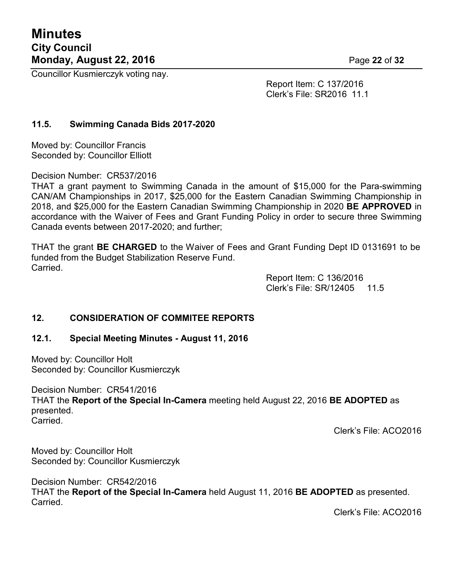Councillor Kusmierczyk voting nay.

Report Item: C 137/2016 Clerk's File: SR2016 11.1

# **11.5. Swimming Canada Bids 2017-2020**

Moved by: Councillor Francis Seconded by: Councillor Elliott

Decision Number: CR537/2016

THAT a grant payment to Swimming Canada in the amount of \$15,000 for the Para-swimming CAN/AM Championships in 2017, \$25,000 for the Eastern Canadian Swimming Championship in 2018, and \$25,000 for the Eastern Canadian Swimming Championship in 2020 **BE APPROVED** in accordance with the Waiver of Fees and Grant Funding Policy in order to secure three Swimming Canada events between 2017-2020; and further;

THAT the grant **BE CHARGED** to the Waiver of Fees and Grant Funding Dept ID 0131691 to be funded from the Budget Stabilization Reserve Fund. Carried.

> Report Item: C 136/2016 Clerk's File: SR/12405 11.5

# **12. CONSIDERATION OF COMMITEE REPORTS**

# **12.1. Special Meeting Minutes - August 11, 2016**

Moved by: Councillor Holt Seconded by: Councillor Kusmierczyk

Decision Number: CR541/2016 THAT the **Report of the Special In-Camera** meeting held August 22, 2016 **BE ADOPTED** as presented. Carried.

Clerk's File: ACO2016

Moved by: Councillor Holt Seconded by: Councillor Kusmierczyk

Decision Number: CR542/2016 THAT the **Report of the Special In-Camera** held August 11, 2016 **BE ADOPTED** as presented. Carried.

Clerk's File: ACO2016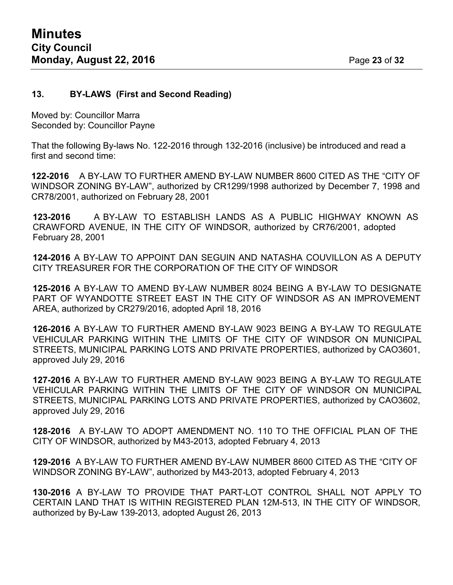# **13. BY-LAWS (First and Second Reading)**

Moved by: Councillor Marra Seconded by: Councillor Payne

That the following By-laws No. 122-2016 through 132-2016 (inclusive) be introduced and read a first and second time:

**122-2016** A BY-LAW TO FURTHER AMEND BY-LAW NUMBER 8600 CITED AS THE "CITY OF WINDSOR ZONING BY-LAW", authorized by CR1299/1998 authorized by December 7, 1998 and CR78/2001, authorized on February 28, 2001

**123-2016** A BY-LAW TO ESTABLISH LANDS AS A PUBLIC HIGHWAY KNOWN AS CRAWFORD AVENUE, IN THE CITY OF WINDSOR, authorized by CR76/2001, adopted February 28, 2001

**124-2016** A BY-LAW TO APPOINT DAN SEGUIN AND NATASHA COUVILLON AS A DEPUTY CITY TREASURER FOR THE CORPORATION OF THE CITY OF WINDSOR

**125-2016** A BY-LAW TO AMEND BY-LAW NUMBER 8024 BEING A BY-LAW TO DESIGNATE PART OF WYANDOTTE STREET EAST IN THE CITY OF WINDSOR AS AN IMPROVEMENT AREA, authorized by CR279/2016, adopted April 18, 2016

**126-2016** A BY-LAW TO FURTHER AMEND BY-LAW 9023 BEING A BY-LAW TO REGULATE VEHICULAR PARKING WITHIN THE LIMITS OF THE CITY OF WINDSOR ON MUNICIPAL STREETS, MUNICIPAL PARKING LOTS AND PRIVATE PROPERTIES, authorized by CAO3601, approved July 29, 2016

**127-2016** A BY-LAW TO FURTHER AMEND BY-LAW 9023 BEING A BY-LAW TO REGULATE VEHICULAR PARKING WITHIN THE LIMITS OF THE CITY OF WINDSOR ON MUNICIPAL STREETS, MUNICIPAL PARKING LOTS AND PRIVATE PROPERTIES, authorized by CAO3602, approved July 29, 2016

**128-2016** A BY-LAW TO ADOPT AMENDMENT NO. 110 TO THE OFFICIAL PLAN OF THE CITY OF WINDSOR, authorized by M43-2013, adopted February 4, 2013

**129-2016** A BY-LAW TO FURTHER AMEND BY-LAW NUMBER 8600 CITED AS THE "CITY OF WINDSOR ZONING BY-LAW", authorized by M43-2013, adopted February 4, 2013

**130-2016** A BY-LAW TO PROVIDE THAT PART-LOT CONTROL SHALL NOT APPLY TO CERTAIN LAND THAT IS WITHIN REGISTERED PLAN 12M-513, IN THE CITY OF WINDSOR, authorized by By-Law 139-2013, adopted August 26, 2013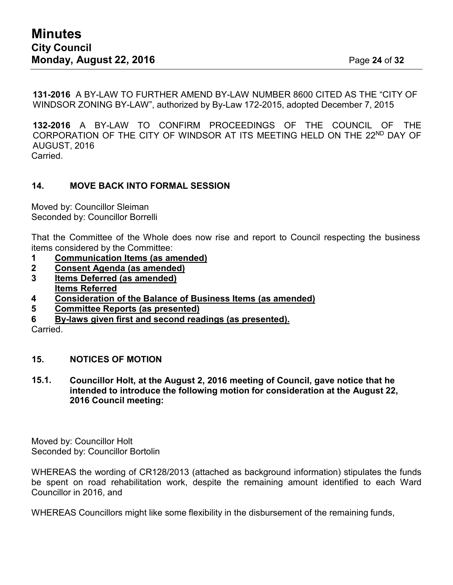**131-2016** A BY-LAW TO FURTHER AMEND BY-LAW NUMBER 8600 CITED AS THE "CITY OF WINDSOR ZONING BY-LAW", authorized by By-Law 172-2015, adopted December 7, 2015

**132-2016** A BY-LAW TO CONFIRM PROCEEDINGS OF THE COUNCIL OF THE CORPORATION OF THE CITY OF WINDSOR AT ITS MEETING HELD ON THE 22<sup>ND</sup> DAY OF AUGUST, 2016 Carried.

# **14. MOVE BACK INTO FORMAL SESSION**

Moved by: Councillor Sleiman Seconded by: Councillor Borrelli

That the Committee of the Whole does now rise and report to Council respecting the business items considered by the Committee:

- **1 Communication Items (as amended)**
- **2 Consent Agenda (as amended)**
- **3 Items Deferred (as amended)**
- **Items Referred**
- **4 Consideration of the Balance of Business Items (as amended)**
- **5 Committee Reports (as presented)**
- **6 By-laws given first and second readings (as presented).**

Carried.

# **15. NOTICES OF MOTION**

**15.1. Councillor Holt, at the August 2, 2016 meeting of Council, gave notice that he intended to introduce the following motion for consideration at the August 22, 2016 Council meeting:**

Moved by: Councillor Holt Seconded by: Councillor Bortolin

WHEREAS the wording of CR128/2013 (attached as background information) stipulates the funds be spent on road rehabilitation work, despite the remaining amount identified to each Ward Councillor in 2016, and

WHEREAS Councillors might like some flexibility in the disbursement of the remaining funds,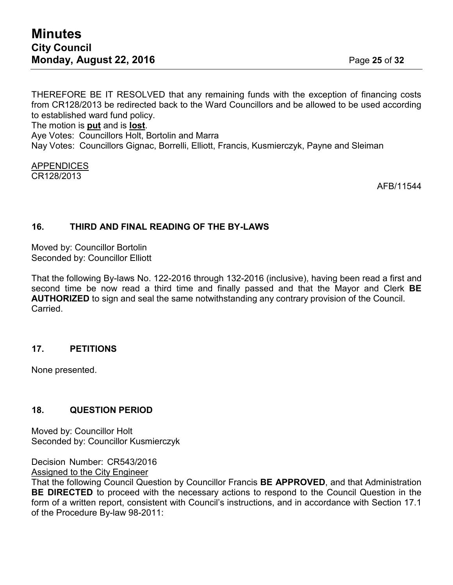THEREFORE BE IT RESOLVED that any remaining funds with the exception of financing costs from CR128/2013 be redirected back to the Ward Councillors and be allowed to be used according to established ward fund policy. The motion is **put** and is **lost**.

Aye Votes: Councillors Holt, Bortolin and Marra Nay Votes: Councillors Gignac, Borrelli, Elliott, Francis, Kusmierczyk, Payne and Sleiman

#### APPENDICES CR128/2013

AFB/11544

# **16. THIRD AND FINAL READING OF THE BY-LAWS**

Moved by: Councillor Bortolin Seconded by: Councillor Elliott

That the following By-laws No. 122-2016 through 132-2016 (inclusive), having been read a first and second time be now read a third time and finally passed and that the Mayor and Clerk **BE AUTHORIZED** to sign and seal the same notwithstanding any contrary provision of the Council. Carried.

# **17. PETITIONS**

None presented.

# **18. QUESTION PERIOD**

Moved by: Councillor Holt Seconded by: Councillor Kusmierczyk

Decision Number: CR543/2016

Assigned to the City Engineer That the following Council Question by Councillor Francis **BE APPROVED**, and that Administration **BE DIRECTED** to proceed with the necessary actions to respond to the Council Question in the form of a written report, consistent with Council's instructions, and in accordance with Section 17.1

of the Procedure By-law 98-2011: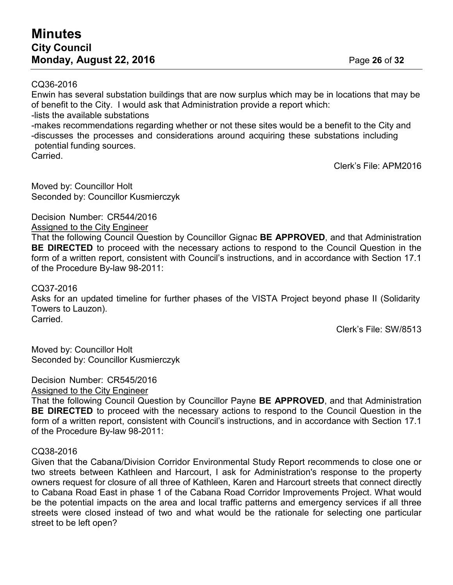# CQ36-2016

Enwin has several substation buildings that are now surplus which may be in locations that may be of benefit to the City. I would ask that Administration provide a report which:

-lists the available substations

-makes recommendations regarding whether or not these sites would be a benefit to the City and -discusses the processes and considerations around acquiring these substations including potential funding sources.

Carried.

Clerk's File: APM2016

Moved by: Councillor Holt Seconded by: Councillor Kusmierczyk

Decision Number: CR544/2016

Assigned to the City Engineer

That the following Council Question by Councillor Gignac **BE APPROVED**, and that Administration **BE DIRECTED** to proceed with the necessary actions to respond to the Council Question in the form of a written report, consistent with Council's instructions, and in accordance with Section 17.1 of the Procedure By-law 98-2011:

CQ37-2016

Asks for an updated timeline for further phases of the VISTA Project beyond phase II (Solidarity Towers to Lauzon). Carried.

Clerk's File: SW/8513

Moved by: Councillor Holt Seconded by: Councillor Kusmierczyk

Decision Number: CR545/2016

Assigned to the City Engineer

That the following Council Question by Councillor Payne **BE APPROVED**, and that Administration **BE DIRECTED** to proceed with the necessary actions to respond to the Council Question in the form of a written report, consistent with Council's instructions, and in accordance with Section 17.1 of the Procedure By-law 98-2011:

# CQ38-2016

Given that the Cabana/Division Corridor Environmental Study Report recommends to close one or two streets between Kathleen and Harcourt, I ask for Administration's response to the property owners request for closure of all three of Kathleen, Karen and Harcourt streets that connect directly to Cabana Road East in phase 1 of the Cabana Road Corridor Improvements Project. What would be the potential impacts on the area and local traffic patterns and emergency services if all three streets were closed instead of two and what would be the rationale for selecting one particular street to be left open?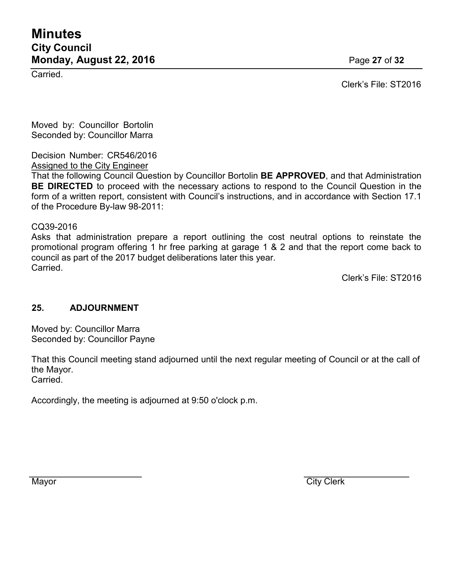# **Minutes City Council Monday, August 22, 2016 Page 27 of 32**

Carried.

Clerk's File: ST2016

Moved by: Councillor Bortolin Seconded by: Councillor Marra

Decision Number: CR546/2016

Assigned to the City Engineer

That the following Council Question by Councillor Bortolin **BE APPROVED**, and that Administration **BE DIRECTED** to proceed with the necessary actions to respond to the Council Question in the form of a written report, consistent with Council's instructions, and in accordance with Section 17.1 of the Procedure By-law 98-2011:

CQ39-2016

Asks that administration prepare a report outlining the cost neutral options to reinstate the promotional program offering 1 hr free parking at garage 1 & 2 and that the report come back to council as part of the 2017 budget deliberations later this year. Carried.

Clerk's File: ST2016

# **25. ADJOURNMENT**

Moved by: Councillor Marra Seconded by: Councillor Payne

That this Council meeting stand adjourned until the next regular meeting of Council or at the call of the Mayor. Carried.

Accordingly, the meeting is adjourned at 9:50 o'clock p.m.

Mayor City Clerk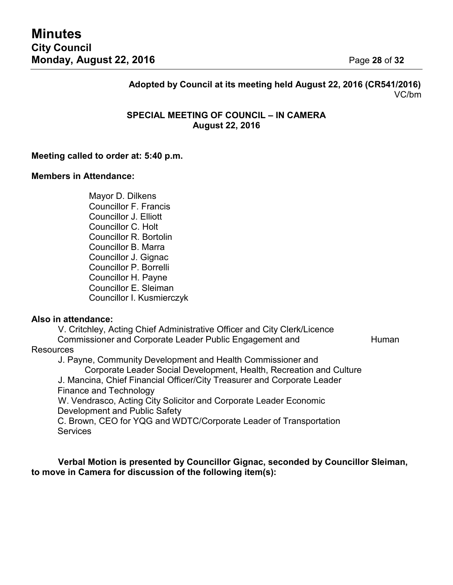# **Adopted by Council at its meeting held August 22, 2016 (CR541/2016)** VC/bm

# **SPECIAL MEETING OF COUNCIL – IN CAMERA August 22, 2016**

#### **Meeting called to order at: 5:40 p.m.**

#### **Members in Attendance:**

Mayor D. Dilkens Councillor F. Francis Councillor J. Elliott Councillor C. Holt Councillor R. Bortolin Councillor B. Marra Councillor J. Gignac Councillor P. Borrelli Councillor H. Payne Councillor E. Sleiman Councillor I. Kusmierczyk

#### **Also in attendance:**

V. Critchley, Acting Chief Administrative Officer and City Clerk/Licence Commissioner and Corporate Leader Public Engagement and Human

#### **Resources**

J. Payne, Community Development and Health Commissioner and

Corporate Leader Social Development, Health, Recreation and Culture

J. Mancina, Chief Financial Officer/City Treasurer and Corporate Leader Finance and Technology

W. Vendrasco, Acting City Solicitor and Corporate Leader Economic Development and Public Safety

C. Brown, CEO for YQG and WDTC/Corporate Leader of Transportation **Services** 

# **Verbal Motion is presented by Councillor Gignac, seconded by Councillor Sleiman, to move in Camera for discussion of the following item(s):**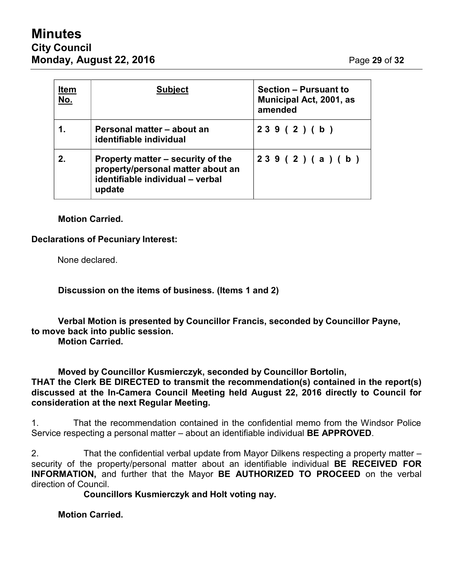# **Minutes City Council Monday, August 22, 2016 Page 29 of 32**

| <b>Item</b><br><u>No.</u> | <b>Subject</b>                                                                                                       | <b>Section - Pursuant to</b><br><b>Municipal Act, 2001, as</b><br>amended |
|---------------------------|----------------------------------------------------------------------------------------------------------------------|---------------------------------------------------------------------------|
|                           | Personal matter – about an<br>identifiable individual                                                                | 239(2)(b)                                                                 |
| 2.                        | Property matter – security of the<br>property/personal matter about an<br>identifiable individual - verbal<br>update | 239(2)(a)(b)                                                              |

# **Motion Carried.**

# **Declarations of Pecuniary Interest:**

None declared.

**Discussion on the items of business. (Items 1 and 2)**

**Verbal Motion is presented by Councillor Francis, seconded by Councillor Payne, to move back into public session.**

**Motion Carried.**

**Moved by Councillor Kusmierczyk, seconded by Councillor Bortolin, THAT the Clerk BE DIRECTED to transmit the recommendation(s) contained in the report(s) discussed at the In-Camera Council Meeting held August 22, 2016 directly to Council for consideration at the next Regular Meeting.**

1. That the recommendation contained in the confidential memo from the Windsor Police Service respecting a personal matter – about an identifiable individual **BE APPROVED**.

2. That the confidential verbal update from Mayor Dilkens respecting a property matter – security of the property/personal matter about an identifiable individual **BE RECEIVED FOR INFORMATION,** and further that the Mayor **BE AUTHORIZED TO PROCEED** on the verbal direction of Council.

**Councillors Kusmierczyk and Holt voting nay.**

**Motion Carried.**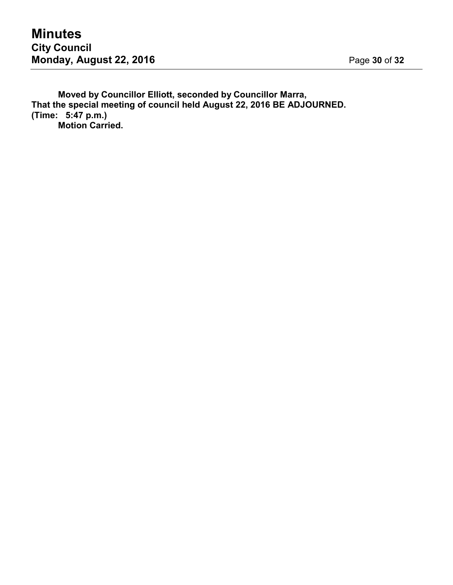**Moved by Councillor Elliott, seconded by Councillor Marra, That the special meeting of council held August 22, 2016 BE ADJOURNED. (Time: 5:47 p.m.) Motion Carried.**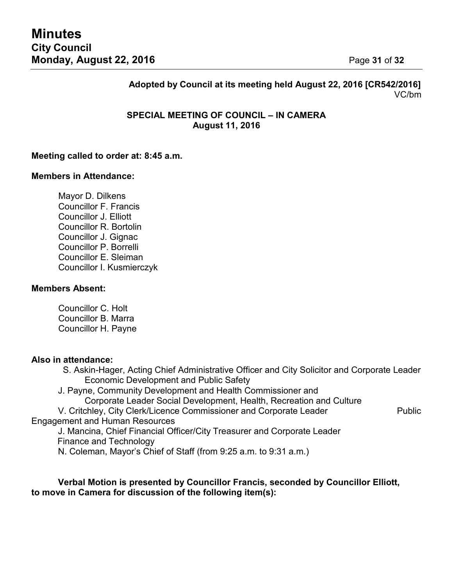# **Adopted by Council at its meeting held August 22, 2016 [CR542/2016]** VC/bm

# **SPECIAL MEETING OF COUNCIL – IN CAMERA August 11, 2016**

## **Meeting called to order at: 8:45 a.m.**

#### **Members in Attendance:**

Mayor D. Dilkens Councillor F. Francis Councillor J. Elliott Councillor R. Bortolin Councillor J. Gignac Councillor P. Borrelli Councillor E. Sleiman Councillor I. Kusmierczyk

#### **Members Absent:**

Councillor C. Holt Councillor B. Marra Councillor H. Payne

#### **Also in attendance:**

S. Askin-Hager, Acting Chief Administrative Officer and City Solicitor and Corporate Leader Economic Development and Public Safety

J. Payne, Community Development and Health Commissioner and

Corporate Leader Social Development, Health, Recreation and Culture

V. Critchley, City Clerk/Licence Commissioner and Corporate Leader Public Engagement and Human Resources

J. Mancina, Chief Financial Officer/City Treasurer and Corporate Leader Finance and Technology

N. Coleman, Mayor's Chief of Staff (from 9:25 a.m. to 9:31 a.m.)

**Verbal Motion is presented by Councillor Francis, seconded by Councillor Elliott, to move in Camera for discussion of the following item(s):**